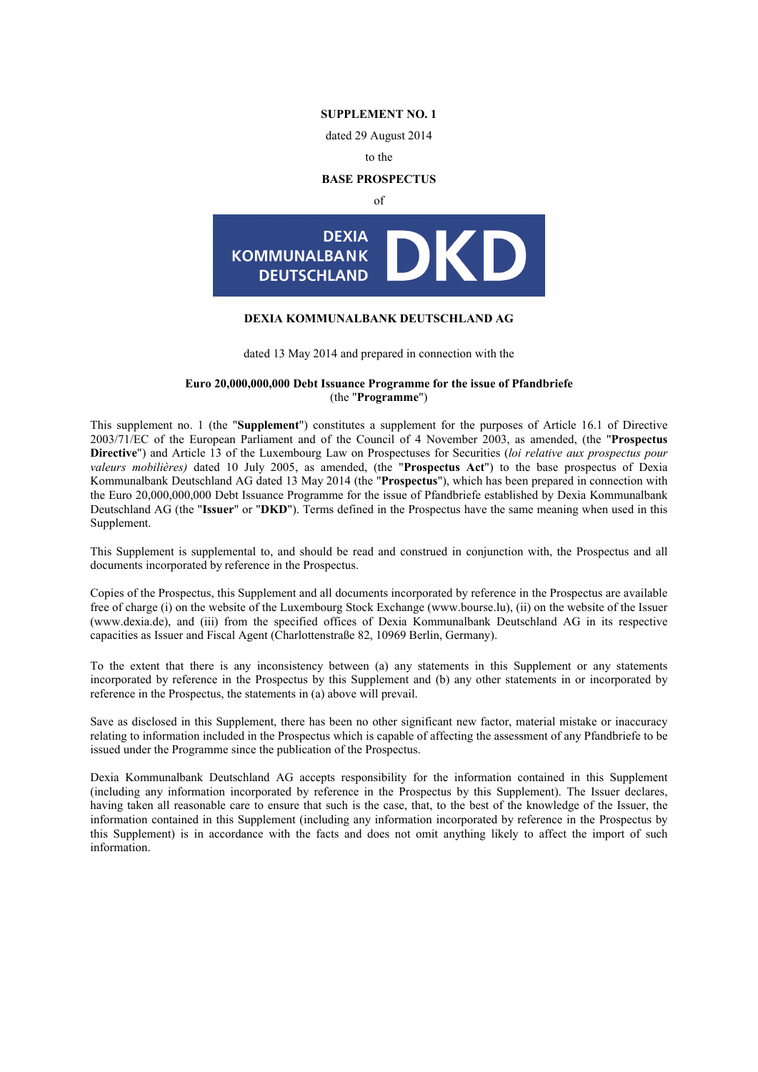**SUPPLEMENT NO. 1**

dated 29 August 2014

to the

### **BASE PROSPECTUS**

of



## **DEXIA KOMMUNALBANK DEUTSCHLAND AG**

dated 13 May 2014 and prepared in connection with the

### **Euro 20,000,000,000 Debt Issuance Programme for the issue of Pfandbriefe** (the "**Programme**")

This supplement no. 1 (the "**Supplement**") constitutes a supplement for the purposes of Article 16.1 of Directive 2003/71/EC of the European Parliament and of the Council of 4 November 2003, as amended, (the "**Prospectus Directive**") and Article 13 of the Luxembourg Law on Prospectuses for Securities (*loi relative aux prospectus pour valeurs mobilières)* dated 10 July 2005, as amended, (the "**Prospectus Act**") to the base prospectus of Dexia Kommunalbank Deutschland AG dated 13 May 2014 (the "**Prospectus**"), which has been prepared in connection with the Euro 20,000,000,000 Debt Issuance Programme for the issue of Pfandbriefe established by Dexia Kommunalbank Deutschland AG (the "**Issuer**" or "**DKD**"). Terms defined in the Prospectus have the same meaning when used in this Supplement.

This Supplement is supplemental to, and should be read and construed in conjunction with, the Prospectus and all documents incorporated by reference in the Prospectus.

Copies of the Prospectus, this Supplement and all documents incorporated by reference in the Prospectus are available free of charge (i) on the website of the Luxembourg Stock Exchange (www.bourse.lu), (ii) on the website of the Issuer (www.dexia.de), and (iii) from the specified offices of Dexia Kommunalbank Deutschland AG in its respective capacities as Issuer and Fiscal Agent (Charlottenstraße 82, 10969 Berlin, Germany).

To the extent that there is any inconsistency between (a) any statements in this Supplement or any statements incorporated by reference in the Prospectus by this Supplement and (b) any other statements in or incorporated by reference in the Prospectus, the statements in (a) above will prevail.

Save as disclosed in this Supplement, there has been no other significant new factor, material mistake or inaccuracy relating to information included in the Prospectus which is capable of affecting the assessment of any Pfandbriefe to be issued under the Programme since the publication of the Prospectus.

Dexia Kommunalbank Deutschland AG accepts responsibility for the information contained in this Supplement (including any information incorporated by reference in the Prospectus by this Supplement). The Issuer declares, having taken all reasonable care to ensure that such is the case, that, to the best of the knowledge of the Issuer, the information contained in this Supplement (including any information incorporated by reference in the Prospectus by this Supplement) is in accordance with the facts and does not omit anything likely to affect the import of such information.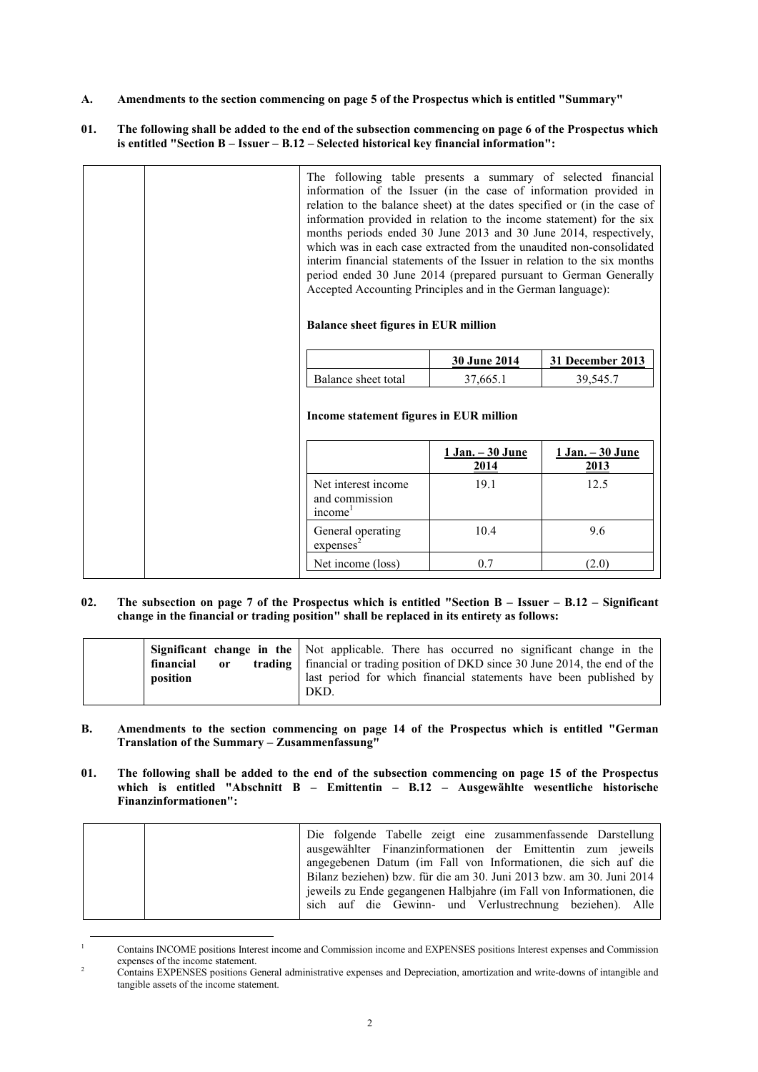**A. Amendments to the section commencing on page 5 of the Prospectus which is entitled "Summary"**

### **01. The following shall be added to the end of the subsection commencing on page 6 of the Prospectus which is entitled "Section B – Issuer – B.12 – Selected historical key financial information":**

| The following table presents a summary of selected financial<br>information of the Issuer (in the case of information provided in<br>relation to the balance sheet) at the dates specified or (in the case of<br>information provided in relation to the income statement) for the six<br>months periods ended 30 June 2013 and 30 June 2014, respectively,<br>which was in each case extracted from the unaudited non-consolidated<br>interim financial statements of the Issuer in relation to the six months<br>period ended 30 June 2014 (prepared pursuant to German Generally<br>Accepted Accounting Principles and in the German language):<br><b>Balance sheet figures in EUR million</b> |                           |                           |
|---------------------------------------------------------------------------------------------------------------------------------------------------------------------------------------------------------------------------------------------------------------------------------------------------------------------------------------------------------------------------------------------------------------------------------------------------------------------------------------------------------------------------------------------------------------------------------------------------------------------------------------------------------------------------------------------------|---------------------------|---------------------------|
|                                                                                                                                                                                                                                                                                                                                                                                                                                                                                                                                                                                                                                                                                                   | 30 June 2014              | 31 December 2013          |
| Balance sheet total                                                                                                                                                                                                                                                                                                                                                                                                                                                                                                                                                                                                                                                                               | 37,665.1                  | 39,545.7                  |
| Income statement figures in EUR million                                                                                                                                                                                                                                                                                                                                                                                                                                                                                                                                                                                                                                                           |                           |                           |
|                                                                                                                                                                                                                                                                                                                                                                                                                                                                                                                                                                                                                                                                                                   | $1 Jan. -30 June$<br>2014 | $1 Jan. -30 June$<br>2013 |
| Net interest income<br>and commission<br>income <sup>1</sup>                                                                                                                                                                                                                                                                                                                                                                                                                                                                                                                                                                                                                                      | 19.1                      | 12.5                      |
|                                                                                                                                                                                                                                                                                                                                                                                                                                                                                                                                                                                                                                                                                                   |                           | 9.6                       |
| General operating<br>express <sup>2</sup>                                                                                                                                                                                                                                                                                                                                                                                                                                                                                                                                                                                                                                                         | 10.4                      |                           |

# **02. The subsection on page 7 of the Prospectus which is entitled "Section B – Issuer – B.12 – Significant change in the financial or trading position" shall be replaced in its entirety as follows:**

|                            | <b>Significant change in the</b> Not applicable. There has occurred no significant change in the |
|----------------------------|--------------------------------------------------------------------------------------------------|
| financial<br><sub>or</sub> | <b>trading</b>   financial or trading position of DKD since 30 June 2014, the end of the         |
| position                   | last period for which financial statements have been published by<br>DKD.                        |

#### **B. Amendments to the section commencing on page 14 of the Prospectus which is entitled "German Translation of the Summary – Zusammenfassung"**

**01. The following shall be added to the end of the subsection commencing on page 15 of the Prospectus which is entitled "Abschnitt B – Emittentin – B.12 – Ausgewählte wesentliche historische Finanzinformationen":**

| Die folgende Tabelle zeigt eine zusammenfassende Darstellung         |
|----------------------------------------------------------------------|
| ausgewählter Finanzinformationen der Emittentin zum jeweils          |
| angegebenen Datum (im Fall von Informationen, die sich auf die       |
| Bilanz beziehen) bzw. für die am 30. Juni 2013 bzw. am 30. Juni 2014 |
| jeweils zu Ende gegangenen Halbjahre (im Fall von Informationen, die |
| sich auf die Gewinn- und Verlustrechnung beziehen). Alle             |
|                                                                      |

<sup>1</sup> Contains INCOME positions Interest income and Commission income and EXPENSES positions Interest expenses and Commission expenses of the income statement.

1

<sup>2</sup> Contains EXPENSES positions General administrative expenses and Depreciation, amortization and write-downs of intangible and tangible assets of the income statement.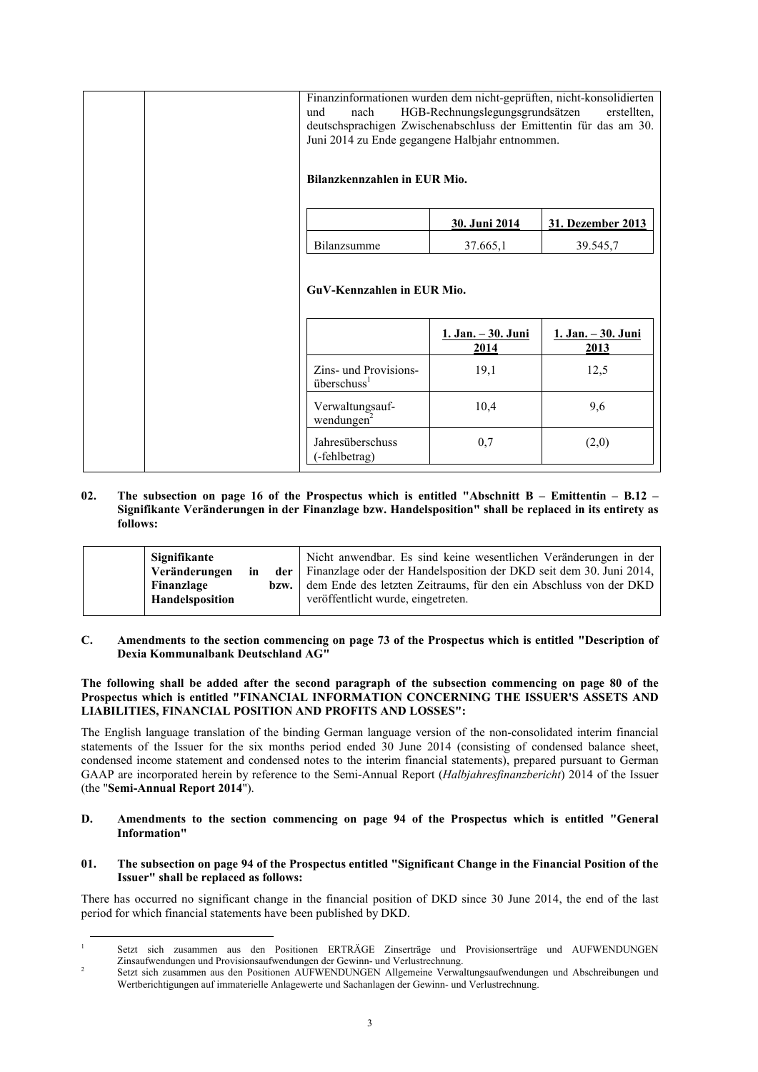|  | Finanzinformationen wurden dem nicht-geprüften, nicht-konsolidierten<br>nach<br>und<br>deutschsprachigen Zwischenabschluss der Emittentin für das am 30.<br>Juni 2014 zu Ende gegangene Halbjahr entnommen.<br>Bilanzkennzahlen in EUR Mio. | HGB-Rechnungslegungsgrundsätzen   | erstellten,                       |
|--|---------------------------------------------------------------------------------------------------------------------------------------------------------------------------------------------------------------------------------------------|-----------------------------------|-----------------------------------|
|  |                                                                                                                                                                                                                                             | 30. Juni 2014                     | 31. Dezember 2013                 |
|  | Bilanzsumme                                                                                                                                                                                                                                 | 37.665,1                          | 39.545,7                          |
|  | GuV-Kennzahlen in EUR Mio.                                                                                                                                                                                                                  |                                   |                                   |
|  |                                                                                                                                                                                                                                             | <u>1. Jan. – 30. Juni</u><br>2014 | <u>1. Jan. - 30. Juni</u><br>2013 |
|  | Zins- und Provisions-<br>überschuss <sup>1</sup>                                                                                                                                                                                            | 19,1                              | 12,5                              |
|  | Verwaltungsauf-<br>wendungen $2$                                                                                                                                                                                                            | 10,4                              | 9,6                               |
|  | Jahresüberschuss<br>(-fehlbetrag)                                                                                                                                                                                                           | 0,7                               | (2,0)                             |

**02. The subsection on page 16 of the Prospectus which is entitled "Abschnitt B – Emittentin – B.12 – Signifikante Veränderungen in der Finanzlage bzw. Handelsposition" shall be replaced in its entirety as follows:**

| Signifikante<br>Veränderungen<br>in<br>Finanzlage<br>Handelsposition | bzw. | Nicht anwendbar. Es sind keine wesentlichen Veränderungen in der<br><b>der</b> Finanzlage oder der Handelsposition der DKD seit dem 30. Juni 2014,<br>dem Ende des letzten Zeitraums, für den ein Abschluss von der DKD<br>veröffentlicht wurde, eingetreten. |
|----------------------------------------------------------------------|------|---------------------------------------------------------------------------------------------------------------------------------------------------------------------------------------------------------------------------------------------------------------|
|----------------------------------------------------------------------|------|---------------------------------------------------------------------------------------------------------------------------------------------------------------------------------------------------------------------------------------------------------------|

**C. Amendments to the section commencing on page 73 of the Prospectus which is entitled "Description of Dexia Kommunalbank Deutschland AG"**

**The following shall be added after the second paragraph of the subsection commencing on page 80 of the Prospectus which is entitled "FINANCIAL INFORMATION CONCERNING THE ISSUER'S ASSETS AND LIABILITIES, FINANCIAL POSITION AND PROFITS AND LOSSES":**

The English language translation of the binding German language version of the non-consolidated interim financial statements of the Issuer for the six months period ended 30 June 2014 (consisting of condensed balance sheet, condensed income statement and condensed notes to the interim financial statements), prepared pursuant to German GAAP are incorporated herein by reference to the Semi-Annual Report (*Halbjahresfinanzbericht*) 2014 of the Issuer (the "**Semi-Annual Report 2014**").

- **D. Amendments to the section commencing on page 94 of the Prospectus which is entitled "General Information"**
- **01. The subsection on page 94 of the Prospectus entitled "Significant Change in the Financial Position of the Issuer" shall be replaced as follows:**

There has occurred no significant change in the financial position of DKD since 30 June 2014, the end of the last period for which financial statements have been published by DKD.

<sup>1</sup> 1 Setzt sich zusammen aus den Positionen ERTRÄGE Zinserträge und Provisionserträge und AUFWENDUNGEN Zinsaufwendungen und Provisionsaufwendungen der Gewinn- und Verlustrechnung.

 $\overline{2}$ Setzt sich zusammen aus den Positionen AUFWENDUNGEN Allgemeine Verwaltungsaufwendungen und Abschreibungen und Wertberichtigungen auf immaterielle Anlagewerte und Sachanlagen der Gewinn- und Verlustrechnung.